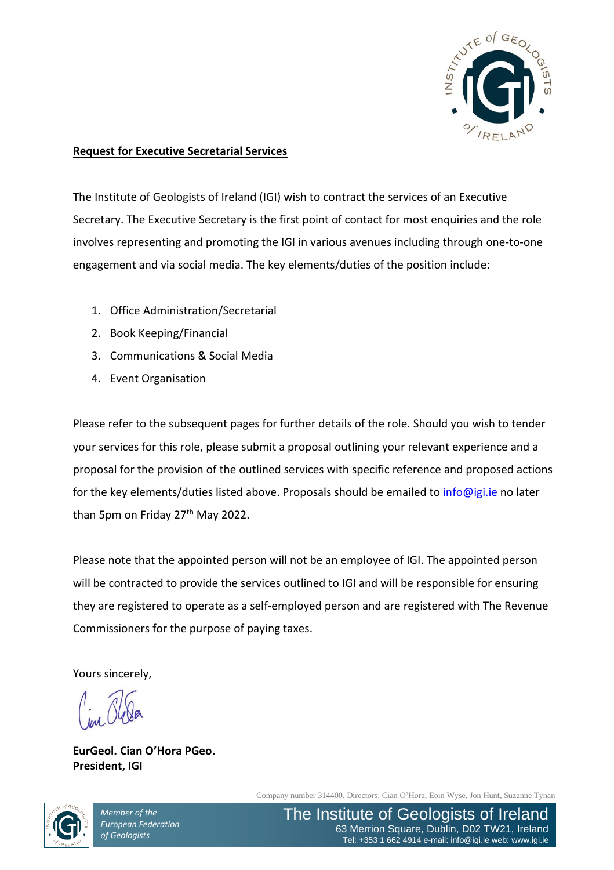

#### **Request for Executive Secretarial Services**

The Institute of Geologists of Ireland (IGI) wish to contract the services of an Executive Secretary. The Executive Secretary is the first point of contact for most enquiries and the role involves representing and promoting the IGI in various avenues including through one-to-one engagement and via social media. The key elements/duties of the position include:

- 1. Office Administration/Secretarial
- 2. Book Keeping/Financial
- 3. Communications & Social Media
- 4. Event Organisation

Please refer to the subsequent pages for further details of the role. Should you wish to tender your services for this role, please submit a proposal outlining your relevant experience and a proposal for the provision of the outlined services with specific reference and proposed actions for the key elements/duties listed above. Proposals should be emailed to [info@igi.ie](mailto:info@igi.ie) no later than 5pm on Friday 27<sup>th</sup> May 2022.

Please note that the appointed person will not be an employee of IGI. The appointed person will be contracted to provide the services outlined to IGI and will be responsible for ensuring they are registered to operate as a self-employed person and are registered with The Revenue Commissioners for the purpose of paying taxes.

Yours sincerely,

**EurGeol. Cian O'Hora PGeo. President, IGI**



*Member of the European Federation of Geologists*

Company number 314400. Directors: Cian O'Hora, Eoin Wyse, Jon Hunt, Suzanne Tynan

The Institute of Geologists of Ireland 63 Merrion Square, Dublin, D02 TW21, Ireland Tel: +353 1 662 4914 e-mail: [info@igi.ie](mailto:info@igi.ie) web: [www.igi.ie](http://www.igi.ie/)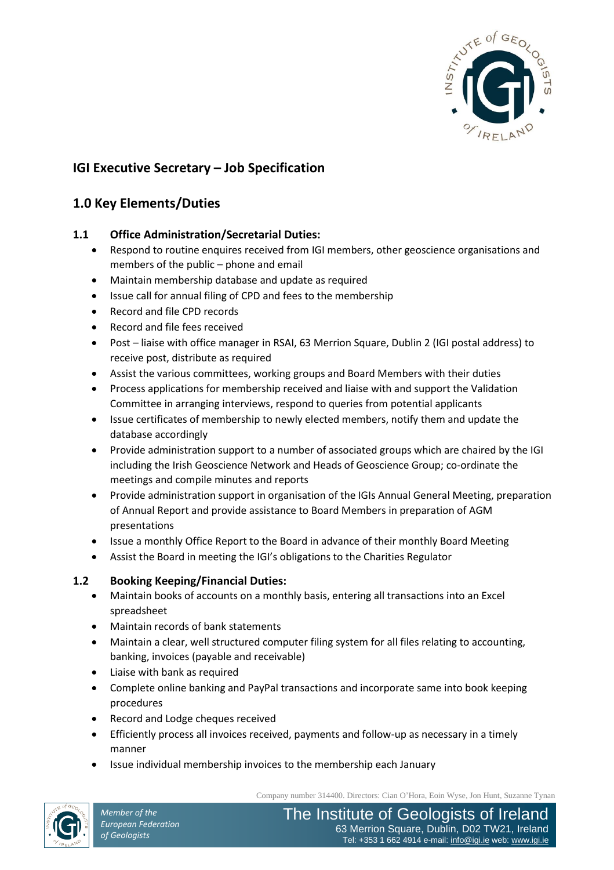

# **IGI Executive Secretary – Job Specification**

# **1.0 Key Elements/Duties**

### **1.1 Office Administration/Secretarial Duties:**

- Respond to routine enquires received from IGI members, other geoscience organisations and members of the public – phone and email
- Maintain membership database and update as required
- Issue call for annual filing of CPD and fees to the membership
- Record and file CPD records
- Record and file fees received
- Post liaise with office manager in RSAI, 63 Merrion Square, Dublin 2 (IGI postal address) to receive post, distribute as required
- Assist the various committees, working groups and Board Members with their duties
- Process applications for membership received and liaise with and support the Validation Committee in arranging interviews, respond to queries from potential applicants
- Issue certificates of membership to newly elected members, notify them and update the database accordingly
- Provide administration support to a number of associated groups which are chaired by the IGI including the Irish Geoscience Network and Heads of Geoscience Group; co-ordinate the meetings and compile minutes and reports
- Provide administration support in organisation of the IGIs Annual General Meeting, preparation of Annual Report and provide assistance to Board Members in preparation of AGM presentations
- Issue a monthly Office Report to the Board in advance of their monthly Board Meeting
- Assist the Board in meeting the IGI's obligations to the Charities Regulator

### **1.2 Booking Keeping/Financial Duties:**

- Maintain books of accounts on a monthly basis, entering all transactions into an Excel spreadsheet
- Maintain records of bank statements
- Maintain a clear, well structured computer filing system for all files relating to accounting, banking, invoices (payable and receivable)
- Liaise with bank as required
- Complete online banking and PayPal transactions and incorporate same into book keeping procedures
- Record and Lodge cheques received
- Efficiently process all invoices received, payments and follow-up as necessary in a timely manner
- Issue individual membership invoices to the membership each January

Company number 314400. Directors: Cian O'Hora, Eoin Wyse, Jon Hunt, Suzanne Tynan

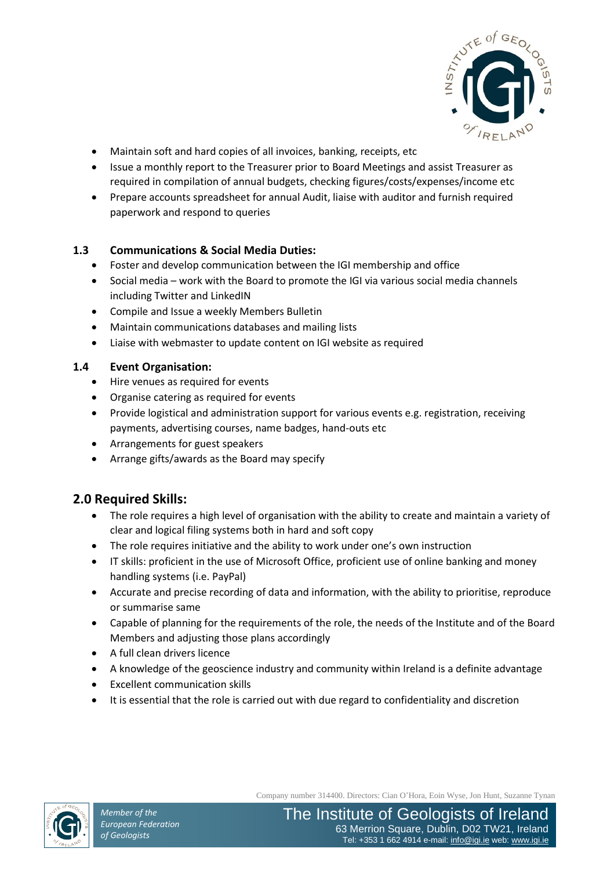

- Maintain soft and hard copies of all invoices, banking, receipts, etc
- Issue a monthly report to the Treasurer prior to Board Meetings and assist Treasurer as required in compilation of annual budgets, checking figures/costs/expenses/income etc
- Prepare accounts spreadsheet for annual Audit, liaise with auditor and furnish required paperwork and respond to queries

## **1.3 Communications & Social Media Duties:**

- Foster and develop communication between the IGI membership and office
- Social media work with the Board to promote the IGI via various social media channels including Twitter and LinkedIN
- Compile and Issue a weekly Members Bulletin
- Maintain communications databases and mailing lists
- Liaise with webmaster to update content on IGI website as required

### **1.4 Event Organisation:**

- Hire venues as required for events
- Organise catering as required for events
- Provide logistical and administration support for various events e.g. registration, receiving payments, advertising courses, name badges, hand-outs etc
- Arrangements for guest speakers
- Arrange gifts/awards as the Board may specify

# **2.0 Required Skills:**

- The role requires a high level of organisation with the ability to create and maintain a variety of clear and logical filing systems both in hard and soft copy
- The role requires initiative and the ability to work under one's own instruction
- IT skills: proficient in the use of Microsoft Office, proficient use of online banking and money handling systems (i.e. PayPal)
- Accurate and precise recording of data and information, with the ability to prioritise, reproduce or summarise same
- Capable of planning for the requirements of the role, the needs of the Institute and of the Board Members and adjusting those plans accordingly
- A full clean drivers licence
- A knowledge of the geoscience industry and community within Ireland is a definite advantage
- Excellent communication skills
- It is essential that the role is carried out with due regard to confidentiality and discretion



Company number 314400. Directors: Cian O'Hora, Eoin Wyse, Jon Hunt, Suzanne Tynan